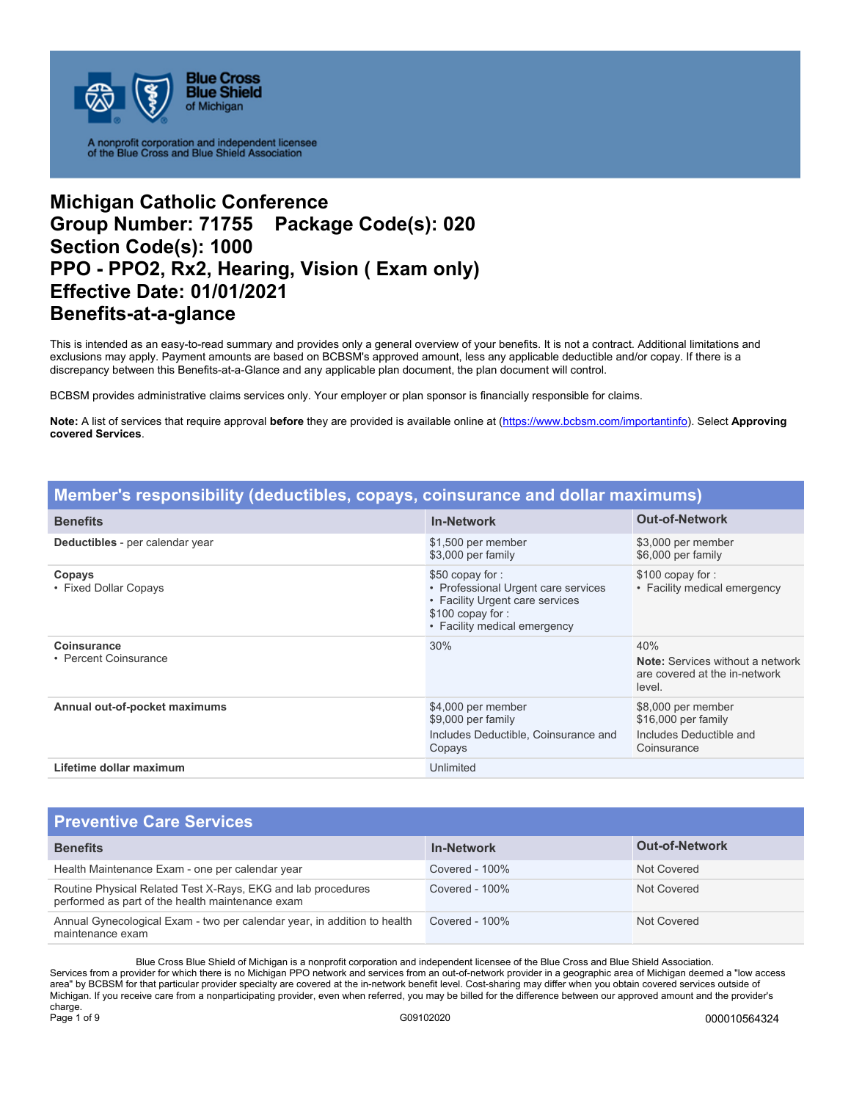

# **Michigan Catholic Conference Group Number: 71755 Package Code(s): 020 Section Code(s): 1000 PPO - PPO2, Rx2, Hearing, Vision ( Exam only) Effective Date: 01/01/2021 Benefits-at-a-glance**

This is intended as an easy-to-read summary and provides only a general overview of your benefits. It is not a contract. Additional limitations and exclusions may apply. Payment amounts are based on BCBSM's approved amount, less any applicable deductible and/or copay. If there is a discrepancy between this Benefits-at-a-Glance and any applicable plan document, the plan document will control.

BCBSM provides administrative claims services only. Your employer or plan sponsor is financially responsible for claims.

**Note:** A list of services that require approval **before** they are provided is available online at (https://www.bcbsm.com/importantinfo). Select **Approving covered Services**.

| Member's responsibility (deductibles, copays, coinsurance and dollar maximums) |                                                                                                                                               |                                                                                           |
|--------------------------------------------------------------------------------|-----------------------------------------------------------------------------------------------------------------------------------------------|-------------------------------------------------------------------------------------------|
| <b>Benefits</b>                                                                | <b>In-Network</b>                                                                                                                             | <b>Out-of-Network</b>                                                                     |
| Deductibles - per calendar year                                                | \$1,500 per member<br>\$3,000 per family                                                                                                      | \$3,000 per member<br>\$6,000 per family                                                  |
| Copays<br>• Fixed Dollar Copays                                                | \$50 copay for:<br>• Professional Urgent care services<br>• Facility Urgent care services<br>\$100 copay for:<br>• Facility medical emergency | \$100 copay for:<br>• Facility medical emergency                                          |
| <b>Coinsurance</b><br>• Percent Coinsurance                                    | 30%                                                                                                                                           | 40%<br><b>Note:</b> Services without a network<br>are covered at the in-network<br>level. |
| Annual out-of-pocket maximums                                                  | \$4,000 per member<br>\$9,000 per family<br>Includes Deductible, Coinsurance and<br>Copays                                                    | \$8,000 per member<br>\$16,000 per family<br>Includes Deductible and<br>Coinsurance       |
| Lifetime dollar maximum                                                        | Unlimited                                                                                                                                     |                                                                                           |

### **Preventive Care Services**

| $\blacksquare$ is verified and called the set $\blacksquare$                                                     |                   |                       |
|------------------------------------------------------------------------------------------------------------------|-------------------|-----------------------|
| <b>Benefits</b>                                                                                                  | <b>In-Network</b> | <b>Out-of-Network</b> |
| Health Maintenance Exam - one per calendar year                                                                  | Covered - 100%    | Not Covered           |
| Routine Physical Related Test X-Rays, EKG and lab procedures<br>performed as part of the health maintenance exam | Covered - $100\%$ | Not Covered           |
| Annual Gynecological Exam - two per calendar year, in addition to health<br>maintenance exam                     | Covered - 100%    | Not Covered           |

Blue Cross Blue Shield of Michigan is a nonprofit corporation and independent licensee of the Blue Cross and Blue Shield Association. Services from a provider for which there is no Michigan PPO network and services from an out-of-network provider in a geographic area of Michigan deemed a "low access area" by BCBSM for that particular provider specialty are covered at the in-network benefit level. Cost-sharing may differ when you obtain covered services outside of Michigan. If you receive care from a nonparticipating provider, even when referred, you may be billed for the difference between our approved amount and the provider's charge.<br>Page 1 of 9 Page 1 of 9 G09102020 000010564324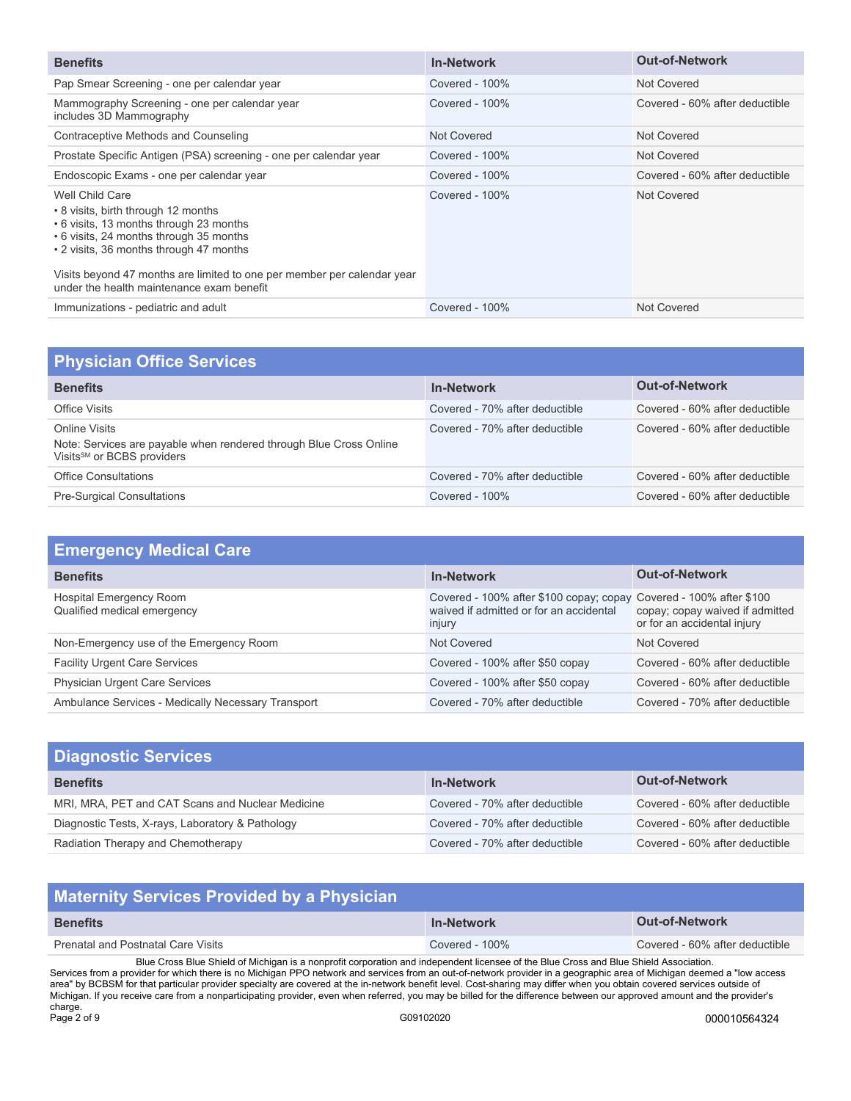| <b>Benefits</b>                                                                                                                                                                                                                                                                                                 | <b>In-Network</b> | <b>Out-of-Network</b>          |
|-----------------------------------------------------------------------------------------------------------------------------------------------------------------------------------------------------------------------------------------------------------------------------------------------------------------|-------------------|--------------------------------|
| Pap Smear Screening - one per calendar year                                                                                                                                                                                                                                                                     | Covered - 100%    | Not Covered                    |
| Mammography Screening - one per calendar year<br>includes 3D Mammography                                                                                                                                                                                                                                        | Covered - $100\%$ | Covered - 60% after deductible |
| Contraceptive Methods and Counseling                                                                                                                                                                                                                                                                            | Not Covered       | Not Covered                    |
| Prostate Specific Antigen (PSA) screening - one per calendar year                                                                                                                                                                                                                                               | Covered - $100\%$ | Not Covered                    |
| Endoscopic Exams - one per calendar year                                                                                                                                                                                                                                                                        | Covered - $100\%$ | Covered - 60% after deductible |
| Well Child Care<br>• 8 visits, birth through 12 months<br>• 6 visits, 13 months through 23 months<br>. 6 visits, 24 months through 35 months<br>• 2 visits, 36 months through 47 months<br>Visits beyond 47 months are limited to one per member per calendar year<br>under the health maintenance exam benefit | Covered - $100\%$ | Not Covered                    |
| Immunizations - pediatric and adult                                                                                                                                                                                                                                                                             | Covered - 100%    | Not Covered                    |

| <b>Physician Office Services</b>                                                                                              |                                |                                |
|-------------------------------------------------------------------------------------------------------------------------------|--------------------------------|--------------------------------|
| <b>Benefits</b>                                                                                                               | <b>In-Network</b>              | <b>Out-of-Network</b>          |
| Office Visits                                                                                                                 | Covered - 70% after deductible | Covered - 60% after deductible |
| Online Visits<br>Note: Services are payable when rendered through Blue Cross Online<br>Visits <sup>SM</sup> or BCBS providers | Covered - 70% after deductible | Covered - 60% after deductible |
| <b>Office Consultations</b>                                                                                                   | Covered - 70% after deductible | Covered - 60% after deductible |
| <b>Pre-Surgical Consultations</b>                                                                                             | Covered - $100\%$              | Covered - 60% after deductible |

| <b>Emergency Medical Care</b>                          |                                                                                                                         |                                                                |
|--------------------------------------------------------|-------------------------------------------------------------------------------------------------------------------------|----------------------------------------------------------------|
| <b>Benefits</b>                                        | <b>In-Network</b>                                                                                                       | <b>Out-of-Network</b>                                          |
| Hospital Emergency Room<br>Qualified medical emergency | Covered - 100% after \$100 copay; copay Covered - 100% after \$100<br>waived if admitted or for an accidental<br>injury | copay; copay waived if admitted<br>or for an accidental injury |
| Non-Emergency use of the Emergency Room                | Not Covered                                                                                                             | Not Covered                                                    |
| <b>Facility Urgent Care Services</b>                   | Covered - 100% after \$50 copay                                                                                         | Covered - 60% after deductible                                 |
| <b>Physician Urgent Care Services</b>                  | Covered - 100% after \$50 copay                                                                                         | Covered - 60% after deductible                                 |
| Ambulance Services - Medically Necessary Transport     | Covered - 70% after deductible                                                                                          | Covered - 70% after deductible                                 |

| <b>Diagnostic Services</b>                       |                                |                                |
|--------------------------------------------------|--------------------------------|--------------------------------|
| <b>Benefits</b>                                  | <b>In-Network</b>              | <b>Out-of-Network</b>          |
| MRI, MRA, PET and CAT Scans and Nuclear Medicine | Covered - 70% after deductible | Covered - 60% after deductible |
| Diagnostic Tests, X-rays, Laboratory & Pathology | Covered - 70% after deductible | Covered - 60% after deductible |
| Radiation Therapy and Chemotherapy               | Covered - 70% after deductible | Covered - 60% after deductible |

| <b>Maternity Services Provided by a Physician</b>                                                                                                                                                                                                                                                                |                   |                                |
|------------------------------------------------------------------------------------------------------------------------------------------------------------------------------------------------------------------------------------------------------------------------------------------------------------------|-------------------|--------------------------------|
| <b>Benefits</b>                                                                                                                                                                                                                                                                                                  | <b>In-Network</b> | <b>Out-of-Network</b>          |
| <b>Prenatal and Postnatal Care Visits</b>                                                                                                                                                                                                                                                                        | Covered - $100\%$ | Covered - 60% after deductible |
| Blue Cross Blue Shield of Michigan is a nonprofit corporation and independent licensee of the Blue Cross and Blue Shield Association.<br>Services from a provider for which there is no Michigan PPO network and services from an out-of-network provider in a geographic area of Michigan deemed a "low access" |                   |                                |

Services from a provider for which there is no Michigan PPO network and services from an out-of-network provider in a geographic area of Michigan deemed a "low access area" by BCBSM for that particular provider specialty are covered at the in-network benefit level. Cost-sharing may differ when you obtain covered services outside of Michigan. If you receive care from a nonparticipating provider, even when referred, you may be billed for the difference between our approved amount and the provider's charge.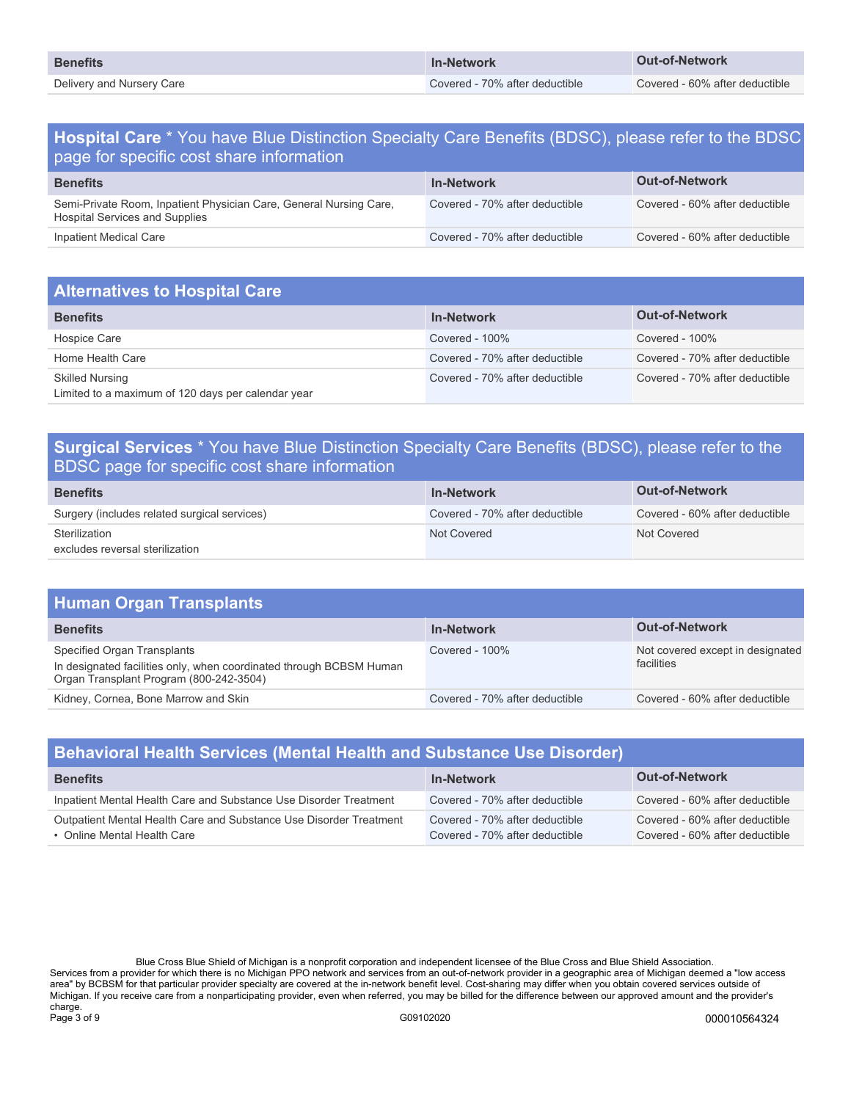| <b>Benefits</b>           | <b>In-Network</b>              | Out-of-Network                 |
|---------------------------|--------------------------------|--------------------------------|
| Delivery and Nursery Care | Covered - 70% after deductible | Covered - 60% after deductible |

### **Hospital Care** \* You have Blue Distinction Specialty Care Benefits (BDSC), please refer to the BDSC page for specific cost share information

| <b>Benefits</b>                                                                                      | <b>In-Network</b>              | <b>Out-of-Network</b>          |
|------------------------------------------------------------------------------------------------------|--------------------------------|--------------------------------|
| Semi-Private Room, Inpatient Physician Care, General Nursing Care,<br>Hospital Services and Supplies | Covered - 70% after deductible | Covered - 60% after deductible |
| Inpatient Medical Care                                                                               | Covered - 70% after deductible | Covered - 60% after deductible |

| <b>Alternatives to Hospital Care</b>                                         |                                |                                |
|------------------------------------------------------------------------------|--------------------------------|--------------------------------|
| <b>Benefits</b>                                                              | <b>In-Network</b>              | <b>Out-of-Network</b>          |
| Hospice Care                                                                 | Covered - 100%                 | Covered - $100\%$              |
| Home Health Care                                                             | Covered - 70% after deductible | Covered - 70% after deductible |
| <b>Skilled Nursing</b><br>Limited to a maximum of 120 days per calendar year | Covered - 70% after deductible | Covered - 70% after deductible |

### **Surgical Services** \* You have Blue Distinction Specialty Care Benefits (BDSC), please refer to the BDSC page for specific cost share information

| <b>Benefits</b>                              | <b>In-Network</b>              | <b>Out-of-Network</b>          |
|----------------------------------------------|--------------------------------|--------------------------------|
| Surgery (includes related surgical services) | Covered - 70% after deductible | Covered - 60% after deductible |
| Sterilization                                | Not Covered                    | Not Covered                    |
| excludes reversal sterilization              |                                |                                |

| <b>Human Organ Transplants</b>                                                                                                                |                                |                                                |
|-----------------------------------------------------------------------------------------------------------------------------------------------|--------------------------------|------------------------------------------------|
| <b>Benefits</b>                                                                                                                               | <b>In-Network</b>              | <b>Out-of-Network</b>                          |
| Specified Organ Transplants<br>In designated facilities only, when coordinated through BCBSM Human<br>Organ Transplant Program (800-242-3504) | Covered - $100\%$              | Not covered except in designated<br>facilities |
| Kidney, Cornea, Bone Marrow and Skin                                                                                                          | Covered - 70% after deductible | Covered - 60% after deductible                 |

| <b>Behavioral Health Services (Mental Health and Substance Use Disorder)</b>                      |                                                                  |                                                                  |  |
|---------------------------------------------------------------------------------------------------|------------------------------------------------------------------|------------------------------------------------------------------|--|
| <b>Benefits</b>                                                                                   | <b>In-Network</b>                                                | <b>Out-of-Network</b>                                            |  |
| Inpatient Mental Health Care and Substance Use Disorder Treatment                                 | Covered - 70% after deductible                                   | Covered - 60% after deductible                                   |  |
| Outpatient Mental Health Care and Substance Use Disorder Treatment<br>• Online Mental Health Care | Covered - 70% after deductible<br>Covered - 70% after deductible | Covered - 60% after deductible<br>Covered - 60% after deductible |  |

Blue Cross Blue Shield of Michigan is a nonprofit corporation and independent licensee of the Blue Cross and Blue Shield Association. Services from a provider for which there is no Michigan PPO network and services from an out-of-network provider in a geographic area of Michigan deemed a "low access area" by BCBSM for that particular provider specialty are covered at the in-network benefit level. Cost-sharing may differ when you obtain covered services outside of Michigan. If you receive care from a nonparticipating provider, even when referred, you may be billed for the difference between our approved amount and the provider's charge.<br>Page 3 of 9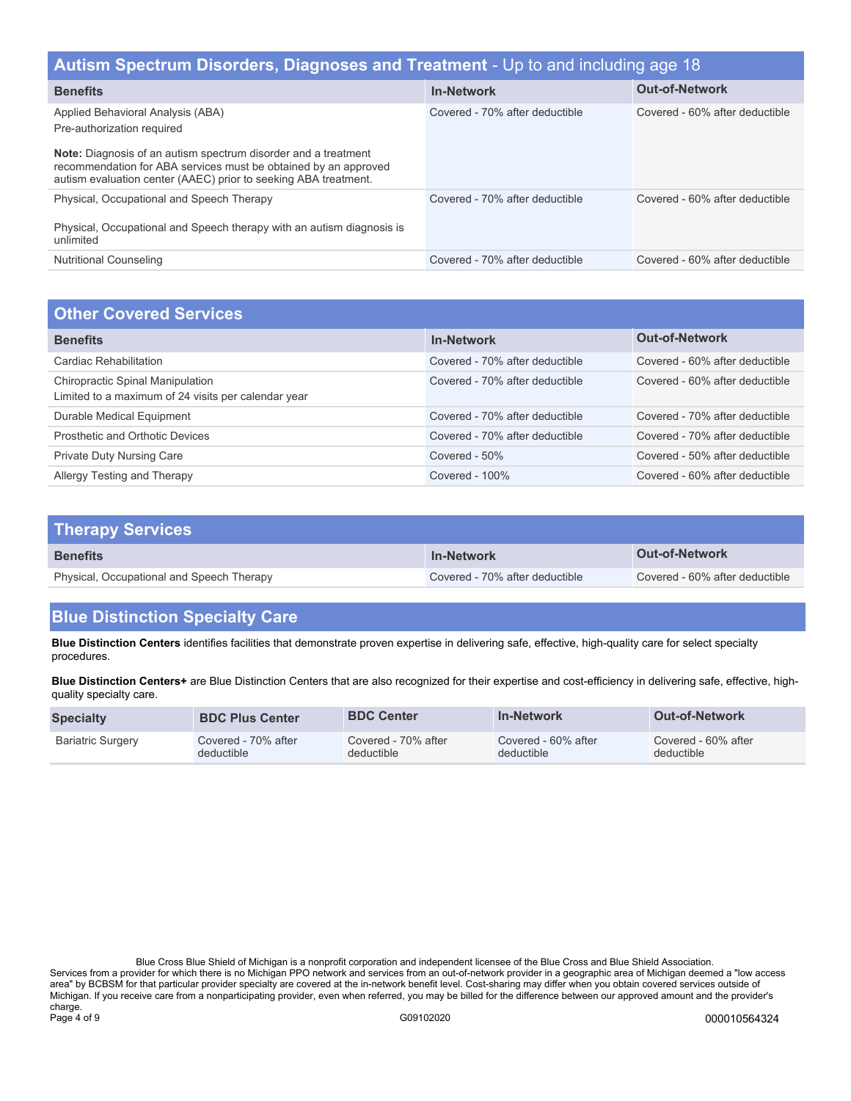| Autism Spectrum Disorders, Diagnoses and Treatment - Up to and including age 18                                                                                                                                                                                                |                                |                                |  |
|--------------------------------------------------------------------------------------------------------------------------------------------------------------------------------------------------------------------------------------------------------------------------------|--------------------------------|--------------------------------|--|
| <b>Benefits</b>                                                                                                                                                                                                                                                                | <b>In-Network</b>              | <b>Out-of-Network</b>          |  |
| Applied Behavioral Analysis (ABA)<br>Pre-authorization required<br><b>Note:</b> Diagnosis of an autism spectrum disorder and a treatment<br>recommendation for ABA services must be obtained by an approved<br>autism evaluation center (AAEC) prior to seeking ABA treatment. | Covered - 70% after deductible | Covered - 60% after deductible |  |
| Physical, Occupational and Speech Therapy<br>Physical, Occupational and Speech therapy with an autism diagnosis is<br>unlimited                                                                                                                                                | Covered - 70% after deductible | Covered - 60% after deductible |  |
| <b>Nutritional Counseling</b>                                                                                                                                                                                                                                                  | Covered - 70% after deductible | Covered - 60% after deductible |  |

| <b>Other Covered Services</b>                                                           |                                |                                |
|-----------------------------------------------------------------------------------------|--------------------------------|--------------------------------|
| <b>Benefits</b>                                                                         | <b>In-Network</b>              | <b>Out-of-Network</b>          |
| Cardiac Rehabilitation                                                                  | Covered - 70% after deductible | Covered - 60% after deductible |
| Chiropractic Spinal Manipulation<br>Limited to a maximum of 24 visits per calendar year | Covered - 70% after deductible | Covered - 60% after deductible |
| Durable Medical Equipment                                                               | Covered - 70% after deductible | Covered - 70% after deductible |
| Prosthetic and Orthotic Devices                                                         | Covered - 70% after deductible | Covered - 70% after deductible |
| <b>Private Duty Nursing Care</b>                                                        | Covered - 50%                  | Covered - 50% after deductible |
| Allergy Testing and Therapy                                                             | Covered - 100%                 | Covered - 60% after deductible |

| <b>Therapy Services</b>                   |                                |                                |
|-------------------------------------------|--------------------------------|--------------------------------|
| <b>Benefits</b>                           | <b>In-Network</b>              | <b>Out-of-Network</b>          |
| Physical, Occupational and Speech Therapy | Covered - 70% after deductible | Covered - 60% after deductible |

# **Blue Distinction Specialty Care**

**Blue Distinction Centers** identifies facilities that demonstrate proven expertise in delivering safe, effective, high-quality care for select specialty procedures.

**Blue Distinction Centers+** are Blue Distinction Centers that are also recognized for their expertise and cost-efficiency in delivering safe, effective, highquality specialty care.

| <b>Specialty</b>         | <b>BDC Plus Center</b> | <b>BDC Center</b>   | <b>In-Network</b>   | <b>Out-of-Network</b> |
|--------------------------|------------------------|---------------------|---------------------|-----------------------|
| <b>Bariatric Surgery</b> | Covered - 70% after    | Covered - 70% after | Covered - 60% after | Covered - 60% after   |
|                          | deductible             | deductible          | deductible          | deductible            |

Blue Cross Blue Shield of Michigan is a nonprofit corporation and independent licensee of the Blue Cross and Blue Shield Association. Services from a provider for which there is no Michigan PPO network and services from an out-of-network provider in a geographic area of Michigan deemed a "low access area" by BCBSM for that particular provider specialty are covered at the in-network benefit level. Cost-sharing may differ when you obtain covered services outside of Michigan. If you receive care from a nonparticipating provider, even when referred, you may be billed for the difference between our approved amount and the provider's charge.<br>Page 4 of 9 Page 4 of 9 G09102020 000010564324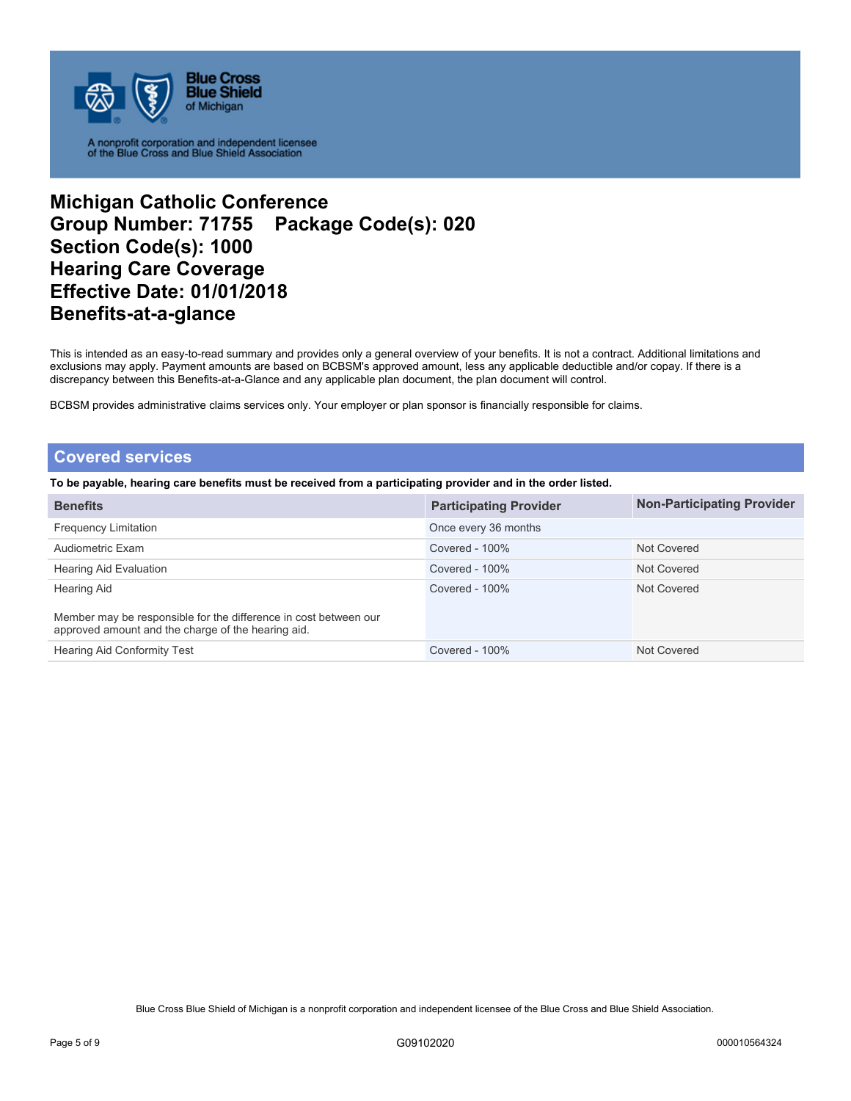

## **Michigan Catholic Conference Group Number: 71755 Package Code(s): 020 Section Code(s): 1000 Hearing Care Coverage Effective Date: 01/01/2018 Benefits-at-a-glance**

This is intended as an easy-to-read summary and provides only a general overview of your benefits. It is not a contract. Additional limitations and exclusions may apply. Payment amounts are based on BCBSM's approved amount, less any applicable deductible and/or copay. If there is a discrepancy between this Benefits-at-a-Glance and any applicable plan document, the plan document will control.

BCBSM provides administrative claims services only. Your employer or plan sponsor is financially responsible for claims.

### **Covered services**

**To be payable, hearing care benefits must be received from a participating provider and in the order listed.** 

| <b>Benefits</b>                                                                                                        | <b>Participating Provider</b> | <b>Non-Participating Provider</b> |
|------------------------------------------------------------------------------------------------------------------------|-------------------------------|-----------------------------------|
| <b>Frequency Limitation</b>                                                                                            | Once every 36 months          |                                   |
| Audiometric Exam                                                                                                       | Covered - 100%                | Not Covered                       |
| Hearing Aid Evaluation                                                                                                 | Covered - $100\%$             | Not Covered                       |
| Hearing Aid                                                                                                            | Covered - $100\%$             | Not Covered                       |
| Member may be responsible for the difference in cost between our<br>approved amount and the charge of the hearing aid. |                               |                                   |
| <b>Hearing Aid Conformity Test</b>                                                                                     | Covered - $100\%$             | Not Covered                       |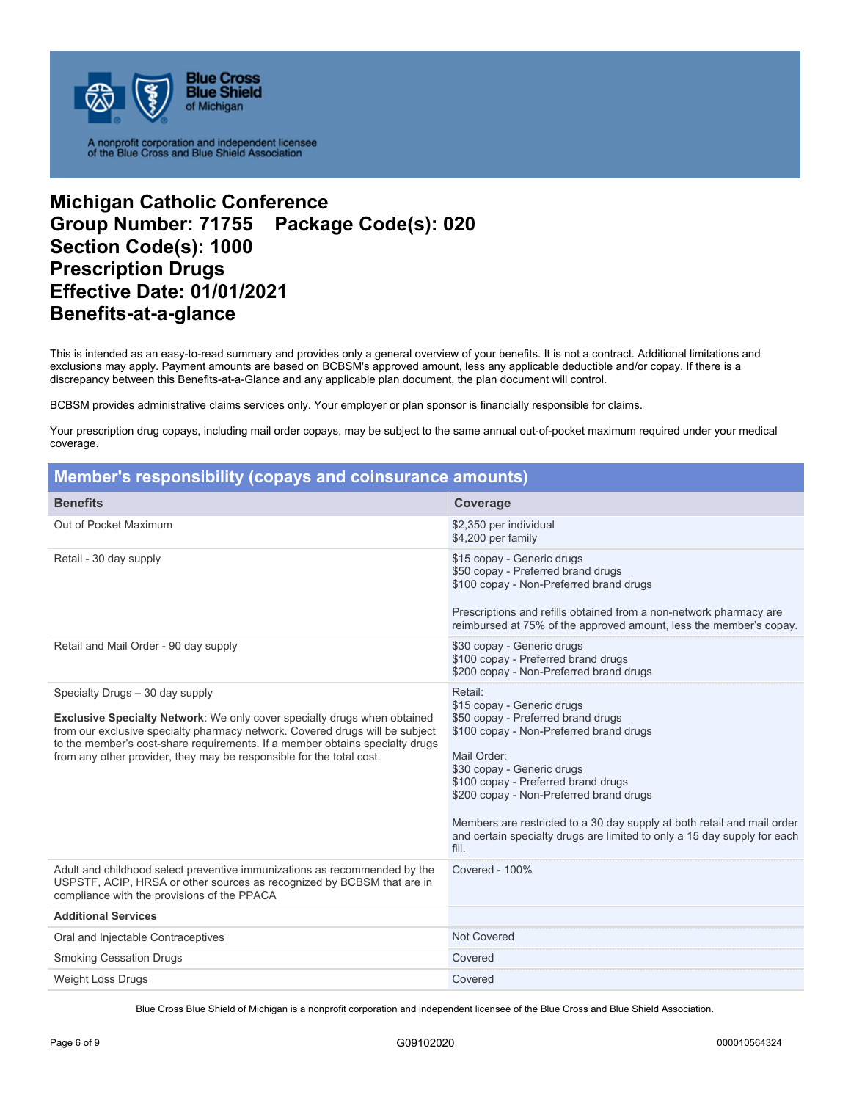

## **Michigan Catholic Conference Group Number: 71755 Package Code(s): 020 Section Code(s): 1000 Prescription Drugs Effective Date: 01/01/2021 Benefits-at-a-glance**

This is intended as an easy-to-read summary and provides only a general overview of your benefits. It is not a contract. Additional limitations and exclusions may apply. Payment amounts are based on BCBSM's approved amount, less any applicable deductible and/or copay. If there is a discrepancy between this Benefits-at-a-Glance and any applicable plan document, the plan document will control.

BCBSM provides administrative claims services only. Your employer or plan sponsor is financially responsible for claims.

Your prescription drug copays, including mail order copays, may be subject to the same annual out-of-pocket maximum required under your medical coverage.

| Member's responsibility (copays and coinsurance amounts)                                                                                                                                                                                                                                                                                                   |                                                                                                                                                                                                                                                                                                                                                                                                                       |
|------------------------------------------------------------------------------------------------------------------------------------------------------------------------------------------------------------------------------------------------------------------------------------------------------------------------------------------------------------|-----------------------------------------------------------------------------------------------------------------------------------------------------------------------------------------------------------------------------------------------------------------------------------------------------------------------------------------------------------------------------------------------------------------------|
| <b>Benefits</b>                                                                                                                                                                                                                                                                                                                                            | Coverage                                                                                                                                                                                                                                                                                                                                                                                                              |
| Out of Pocket Maximum                                                                                                                                                                                                                                                                                                                                      | \$2,350 per individual<br>\$4,200 per family                                                                                                                                                                                                                                                                                                                                                                          |
| Retail - 30 day supply                                                                                                                                                                                                                                                                                                                                     | \$15 copay - Generic drugs<br>\$50 copay - Preferred brand drugs<br>\$100 copay - Non-Preferred brand drugs<br>Prescriptions and refills obtained from a non-network pharmacy are<br>reimbursed at 75% of the approved amount, less the member's copay.                                                                                                                                                               |
| Retail and Mail Order - 90 day supply                                                                                                                                                                                                                                                                                                                      | \$30 copay - Generic drugs<br>\$100 copay - Preferred brand drugs<br>\$200 copay - Non-Preferred brand drugs                                                                                                                                                                                                                                                                                                          |
| Specialty Drugs - 30 day supply<br><b>Exclusive Specialty Network:</b> We only cover specialty drugs when obtained<br>from our exclusive specialty pharmacy network. Covered drugs will be subject<br>to the member's cost-share requirements. If a member obtains specialty drugs<br>from any other provider, they may be responsible for the total cost. | Retail:<br>\$15 copay - Generic drugs<br>\$50 copay - Preferred brand drugs<br>\$100 copay - Non-Preferred brand drugs<br>Mail Order:<br>\$30 copay - Generic drugs<br>\$100 copay - Preferred brand drugs<br>\$200 copay - Non-Preferred brand drugs<br>Members are restricted to a 30 day supply at both retail and mail order<br>and certain specialty drugs are limited to only a 15 day supply for each<br>fill. |
| Adult and childhood select preventive immunizations as recommended by the<br>USPSTF, ACIP, HRSA or other sources as recognized by BCBSM that are in<br>compliance with the provisions of the PPACA                                                                                                                                                         | Covered - 100%                                                                                                                                                                                                                                                                                                                                                                                                        |
| <b>Additional Services</b>                                                                                                                                                                                                                                                                                                                                 |                                                                                                                                                                                                                                                                                                                                                                                                                       |
| Oral and Injectable Contraceptives                                                                                                                                                                                                                                                                                                                         | <b>Not Covered</b>                                                                                                                                                                                                                                                                                                                                                                                                    |
| <b>Smoking Cessation Drugs</b>                                                                                                                                                                                                                                                                                                                             | Covered                                                                                                                                                                                                                                                                                                                                                                                                               |
| <b>Weight Loss Drugs</b>                                                                                                                                                                                                                                                                                                                                   | Covered                                                                                                                                                                                                                                                                                                                                                                                                               |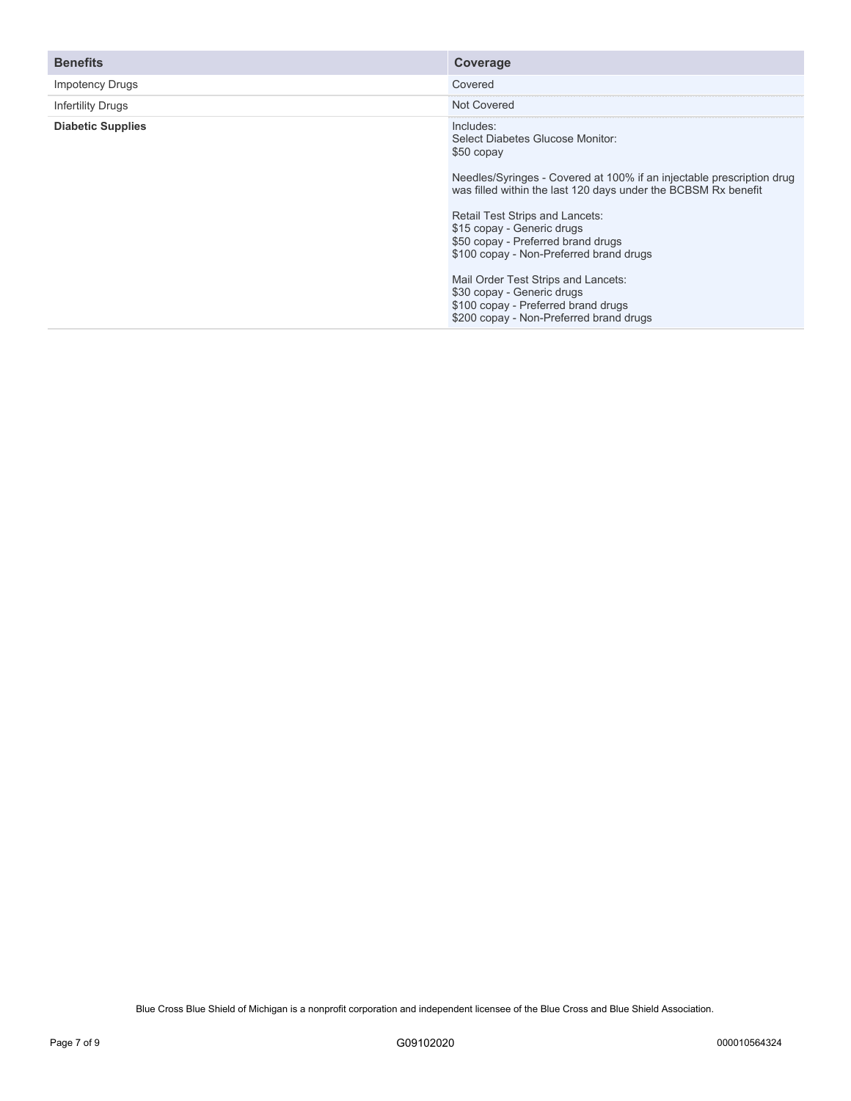| <b>Benefits</b>          | Coverage                                                                                                                                                                                                                                                                                                                                                 |
|--------------------------|----------------------------------------------------------------------------------------------------------------------------------------------------------------------------------------------------------------------------------------------------------------------------------------------------------------------------------------------------------|
| <b>Impotency Drugs</b>   | Covered                                                                                                                                                                                                                                                                                                                                                  |
| <b>Infertility Drugs</b> | Not Covered                                                                                                                                                                                                                                                                                                                                              |
| <b>Diabetic Supplies</b> | Includes:<br>Select Diabetes Glucose Monitor:<br>\$50 copay<br>Needles/Syringes - Covered at 100% if an injectable prescription drug<br>was filled within the last 120 days under the BCBSM Rx benefit<br>Retail Test Strips and Lancets:<br>\$15 copay - Generic drugs<br>\$50 copay - Preferred brand drugs<br>\$100 copay - Non-Preferred brand drugs |
|                          | Mail Order Test Strips and Lancets:                                                                                                                                                                                                                                                                                                                      |
|                          | \$30 copay - Generic drugs<br>\$100 copay - Preferred brand drugs<br>\$200 copay - Non-Preferred brand drugs                                                                                                                                                                                                                                             |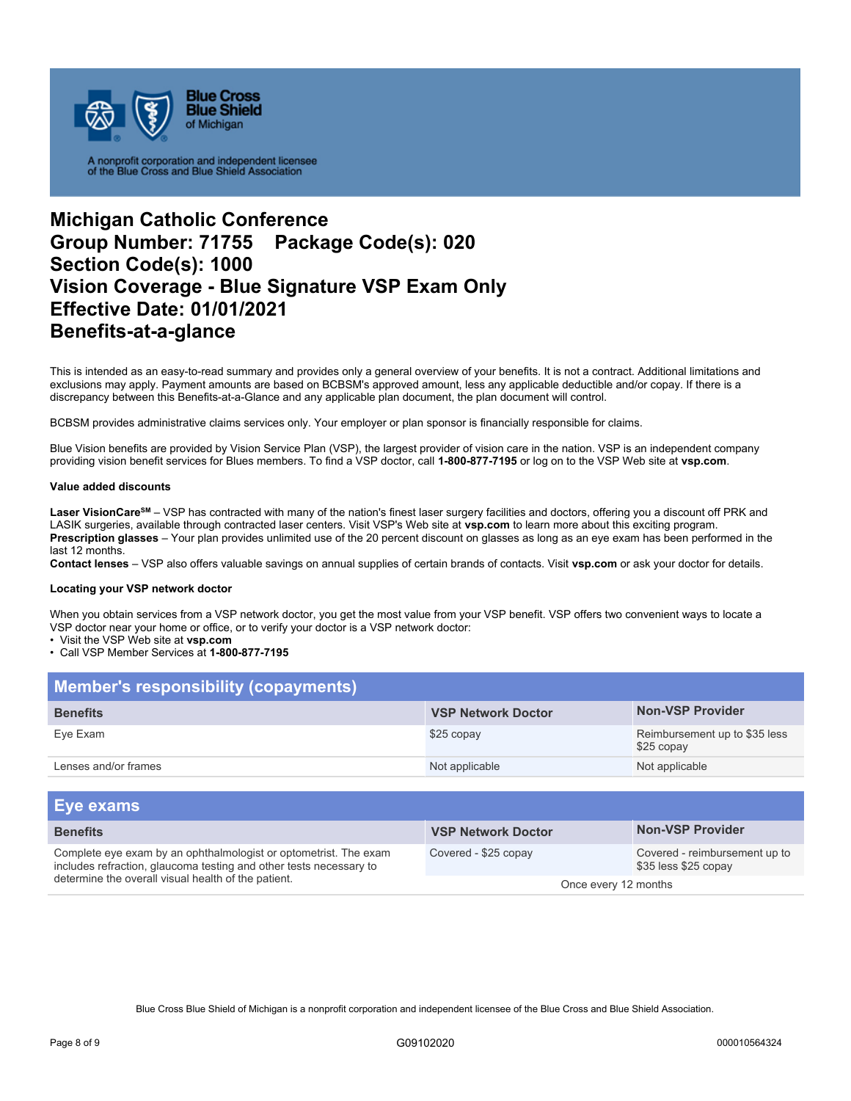

## **Michigan Catholic Conference Group Number: 71755 Package Code(s): 020 Section Code(s): 1000 Vision Coverage - Blue Signature VSP Exam Only Effective Date: 01/01/2021 Benefits-at-a-glance**

This is intended as an easy-to-read summary and provides only a general overview of your benefits. It is not a contract. Additional limitations and exclusions may apply. Payment amounts are based on BCBSM's approved amount, less any applicable deductible and/or copay. If there is a discrepancy between this Benefits-at-a-Glance and any applicable plan document, the plan document will control.

BCBSM provides administrative claims services only. Your employer or plan sponsor is financially responsible for claims.

Blue Vision benefits are provided by Vision Service Plan (VSP), the largest provider of vision care in the nation. VSP is an independent company providing vision benefit services for Blues members. To find a VSP doctor, call **1-800-877-7195** or log on to the VSP Web site at **vsp.com**.

### **Value added discounts**

Laser VisionCare<sup>sM</sup> – VSP has contracted with many of the nation's finest laser surgery facilities and doctors, offering you a discount off PRK and LASIK surgeries, available through contracted laser centers. Visit VSP's Web site at **vsp.com** to learn more about this exciting program. **Prescription glasses** – Your plan provides unlimited use of the 20 percent discount on glasses as long as an eye exam has been performed in the last 12 months.

**Contact lenses** – VSP also offers valuable savings on annual supplies of certain brands of contacts. Visit **vsp.com** or ask your doctor for details.

#### **Locating your VSP network doctor**

When you obtain services from a VSP network doctor, you get the most value from your VSP benefit. VSP offers two convenient ways to locate a VSP doctor near your home or office, or to verify your doctor is a VSP network doctor:

• Visit the VSP Web site at **vsp.com** 

• Call VSP Member Services at **1-800-877-7195** 

| Member's responsibility (copayments) |                           |                                             |  |
|--------------------------------------|---------------------------|---------------------------------------------|--|
| <b>Benefits</b>                      | <b>VSP Network Doctor</b> | <b>Non-VSP Provider</b>                     |  |
| Eve Exam                             | \$25 copay                | Reimbursement up to \$35 less<br>\$25 copay |  |
| Lenses and/or frames                 | Not applicable            | Not applicable                              |  |

| Eye exams                                                                                                                                                                                     |                           |                                                       |
|-----------------------------------------------------------------------------------------------------------------------------------------------------------------------------------------------|---------------------------|-------------------------------------------------------|
| <b>Benefits</b>                                                                                                                                                                               | <b>VSP Network Doctor</b> | <b>Non-VSP Provider</b>                               |
| Complete eye exam by an ophthalmologist or optometrist. The exam<br>includes refraction, glaucoma testing and other tests necessary to<br>determine the overall visual health of the patient. | Covered - \$25 copay      | Covered - reimbursement up to<br>\$35 less \$25 copay |
|                                                                                                                                                                                               | Once every 12 months      |                                                       |